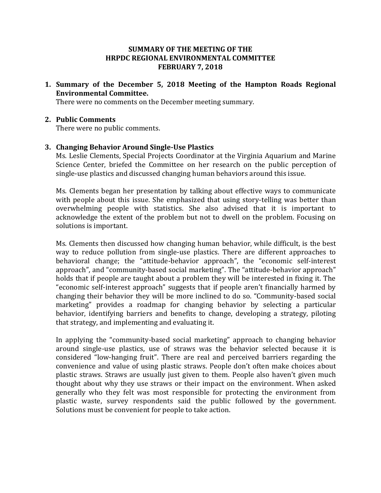### **SUMMARY OF THE MEETING OF THE HRPDC REGIONAL ENVIRONMENTAL COMMITTEE FEBRUARY 7, 2018**

**1. Summary of the December 5, 2018 Meeting of the Hampton Roads Regional Environmental Committee.**

There were no comments on the December meeting summary.

### **2. Public Comments**

There were no public comments.

# **3. Changing Behavior Around Single-Use Plastics**

Ms. Leslie Clements, Special Projects Coordinator at the Virginia Aquarium and Marine Science Center, briefed the Committee on her research on the public perception of single-use plastics and discussed changing human behaviors around this issue.

Ms. Clements began her presentation by talking about effective ways to communicate with people about this issue. She emphasized that using story-telling was better than overwhelming people with statistics. She also advised that it is important to acknowledge the extent of the problem but not to dwell on the problem. Focusing on solutions is important.

Ms. Clements then discussed how changing human behavior, while difficult, is the best way to reduce pollution from single-use plastics. There are different approaches to behavioral change; the "attitude-behavior approach", the "economic self-interest approach", and "community-based social marketing". The "attitude-behavior approach" holds that if people are taught about a problem they will be interested in fixing it. The "economic self-interest approach" suggests that if people aren't financially harmed by changing their behavior they will be more inclined to do so. "Community-based social marketing" provides a roadmap for changing behavior by selecting a particular behavior, identifying barriers and benefits to change, developing a strategy, piloting that strategy, and implementing and evaluating it.

In applying the "community-based social marketing" approach to changing behavior around single-use plastics, use of straws was the behavior selected because it is considered "low-hanging fruit". There are real and perceived barriers regarding the convenience and value of using plastic straws. People don't often make choices about plastic straws. Straws are usually just given to them. People also haven't given much thought about why they use straws or their impact on the environment. When asked generally who they felt was most responsible for protecting the environment from plastic waste, survey respondents said the public followed by the government. Solutions must be convenient for people to take action.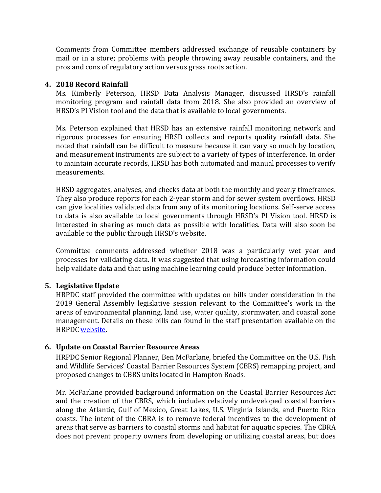Comments from Committee members addressed exchange of reusable containers by mail or in a store; problems with people throwing away reusable containers, and the pros and cons of regulatory action versus grass roots action.

# **4. 2018 Record Rainfall**

Ms. Kimberly Peterson, HRSD Data Analysis Manager, discussed HRSD's rainfall monitoring program and rainfall data from 2018. She also provided an overview of HRSD's PI Vision tool and the data that is available to local governments.

Ms. Peterson explained that HRSD has an extensive rainfall monitoring network and rigorous processes for ensuring HRSD collects and reports quality rainfall data. She noted that rainfall can be difficult to measure because it can vary so much by location, and measurement instruments are subject to a variety of types of interference. In order to maintain accurate records, HRSD has both automated and manual processes to verify measurements.

HRSD aggregates, analyses, and checks data at both the monthly and yearly timeframes. They also produce reports for each 2-year storm and for sewer system overflows. HRSD can give localities validated data from any of its monitoring locations. Self-serve access to data is also available to local governments through HRSD's PI Vision tool. HRSD is interested in sharing as much data as possible with localities. Data will also soon be available to the public through HRSD's website.

Committee comments addressed whether 2018 was a particularly wet year and processes for validating data. It was suggested that using forecasting information could help validate data and that using machine learning could produce better information.

# **5. Legislative Update**

HRPDC staff provided the committee with updates on bills under consideration in the 2019 General Assembly legislative session relevant to the Committee's work in the areas of environmental planning, land use, water quality, stormwater, and coastal zone management. Details on these bills can found in the staff presentation available on the HRPDC [website.](https://www.hrpdcva.gov/uploads/docs/06_Presentation_LegislativeUpdate.pdf)

# **6. Update on Coastal Barrier Resource Areas**

HRPDC Senior Regional Planner, Ben McFarlane, briefed the Committee on the U.S. Fish and Wildlife Services' Coastal Barrier Resources System (CBRS) remapping project, and proposed changes to CBRS units located in Hampton Roads.

Mr. McFarlane provided background information on the Coastal Barrier Resources Act and the creation of the CBRS, which includes relatively undeveloped coastal barriers along the Atlantic, Gulf of Mexico, Great Lakes, U.S. Virginia Islands, and Puerto Rico coasts. The intent of the CBRA is to remove federal incentives to the development of areas that serve as barriers to coastal storms and habitat for aquatic species. The CBRA does not prevent property owners from developing or utilizing coastal areas, but does